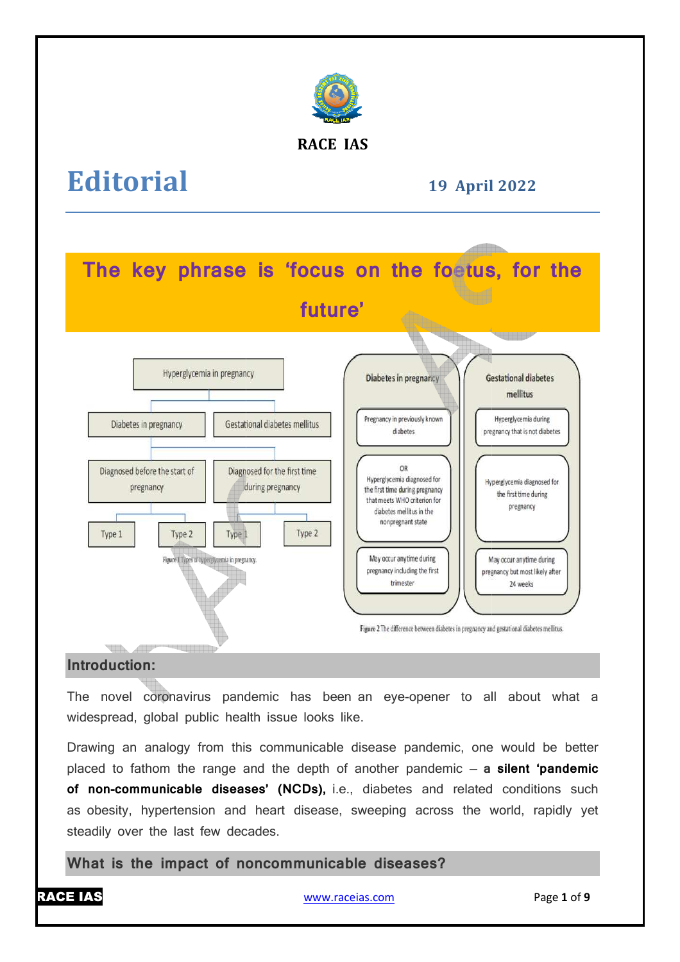

# **RACE IAS**

# **Editorial**

**19 April April 2022** 



# **Introduction:**

The novel coronavirus pandemic has been an eye-opener to all about what a widespread, global public health issue looks like.

Drawing an analogy from this communicable disease pandemic, one would be better placed to fathom the range and the depth of another pandemic — **a silent 'pandemic**  of non-communicable diseases' (NCDs), i.e., diabetes and related conditions such as obesity, hypertension and heart disease, sweeping across the world, rapidly yet steadily over the last few decades.

**What is the impact of noncommunicable diseases?**

www.raceias.com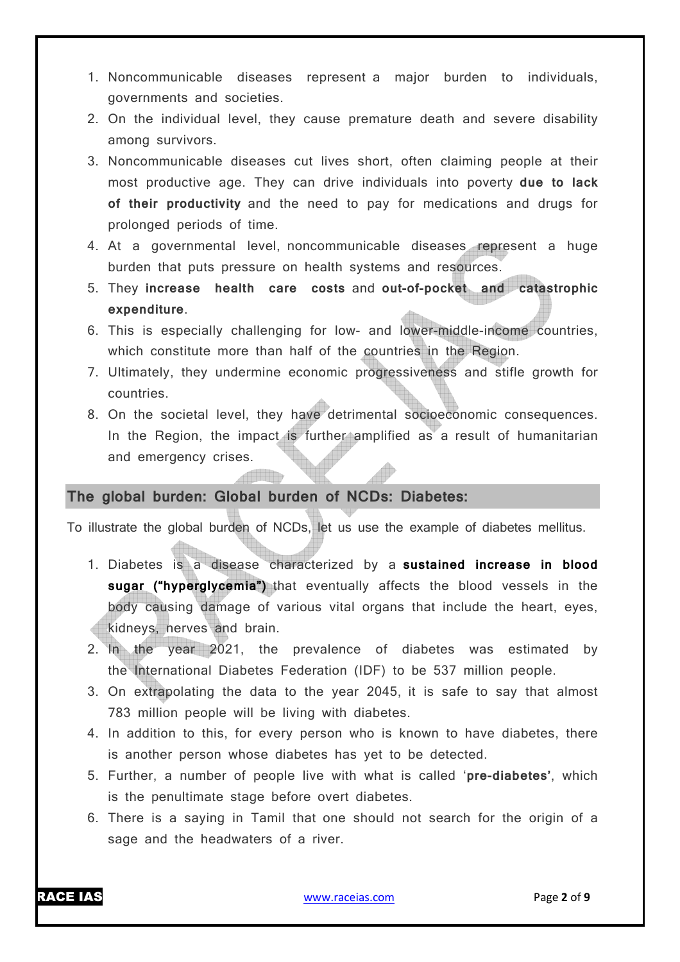- 1. Noncommunicable diseases represent a major burden to individuals, governments and societies.
- 2. On the individual level, they cause premature death and severe disability among survivors.
- 3. Noncommunicable diseases cut lives short, often claiming people at their most productive age. They can drive individuals into poverty **due to lack of their productivity** and the need to pay for medications and drugs for prolonged periods of time.
- 4. At a governmental level, noncommunicable diseases represent a huge burden that puts pressure on health systems and resources.
- 5. They **increase health care costs** and **out-of-pocket and catastrophic expenditure**.
- 6. This is especially challenging for low- and lower-middle-income countries, which constitute more than half of the countries in the Region.
- 7. Ultimately, they undermine economic progressiveness and stifle growth for countries.
- 8. On the societal level, they have detrimental socioeconomic consequences. In the Region, the impact is further amplified as a result of humanitarian and emergency crises.

# **The global burden: Global burden of NCDs: Diabetes:**

To illustrate the global burden of NCDs, let us use the example of diabetes mellitus.

- 1. Diabetes is a disease characterized by a **sustained increase in blood sugar ("hyperglycemia")** that eventually affects the blood vessels in the body causing damage of various vital organs that include the heart, eyes, kidneys, nerves and brain.
- 2. In the year 2021, the prevalence of diabetes was estimated by the International Diabetes Federation (IDF) to be 537 million people.
- 3. On extrapolating the data to the year 2045, it is safe to say that almost 783 million people will be living with diabetes.
- 4. In addition to this, for every person who is known to have diabetes, there is another person whose diabetes has yet to be detected.
- 5. Further, a number of people live with what is called '**pre-diabetes'**, which is the penultimate stage before overt diabetes.
- 6. There is a saying in Tamil that one should not search for the origin of a sage and the headwaters of a river.

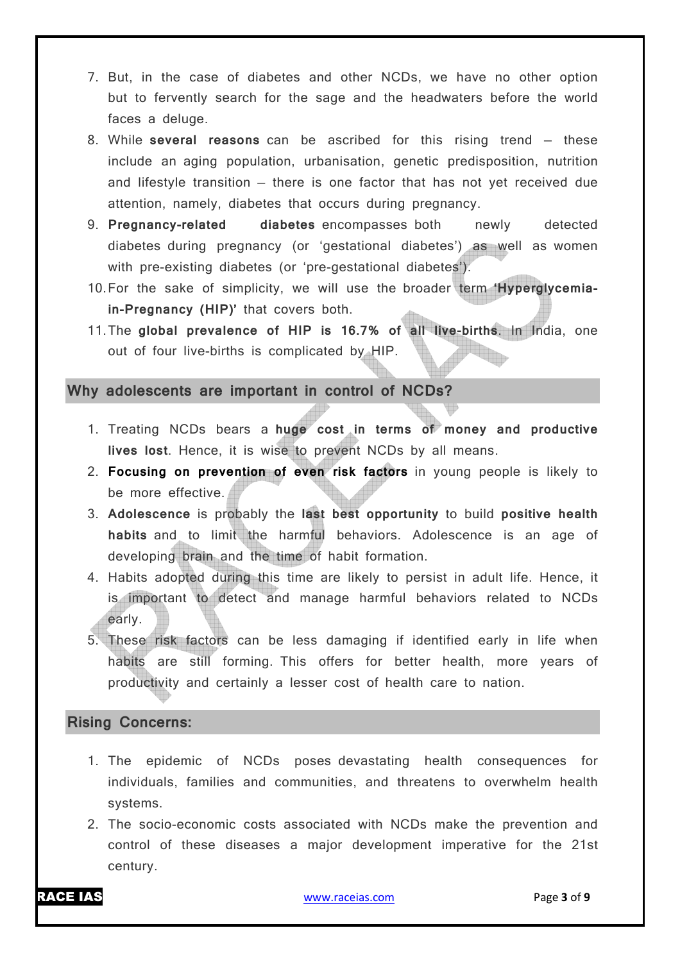- 7. But, in the case of diabetes and other NCDs, we have no other option but to fervently search for the sage and the headwaters before the world faces a deluge.
- 8. While **several reasons** can be ascribed for this rising trend these include an aging population, urbanisation, genetic predisposition, nutrition and lifestyle transition — there is one factor that has not yet received due attention, namely, diabetes that occurs during pregnancy.
- 9. **Pregnancy-related diabetes** encompasses both newly detected diabetes during pregnancy (or 'gestational diabetes') as well as women with pre-existing diabetes (or 'pre-gestational diabetes').
- 10.For the sake of simplicity, we will use the broader term **'Hyperglycemiain-Pregnancy (HIP)'** that covers both.
- 11.The **global prevalence of HIP is 16.7% of all live-births**. In India, one out of four live-births is complicated by HIP.

#### **Why adolescents are important in control of NCDs?**

- 1. Treating NCDs bears a **huge cost in terms of money and productive lives lost**. Hence, it is wise to prevent NCDs by all means.
- 2. **Focusing on prevention of even risk factors** in young people is likely to be more effective.
- 3. **Adolescence** is probably the **last best opportunity** to build **positive health habits** and to limit the harmful behaviors. Adolescence is an age of developing brain and the time of habit formation.
- 4. Habits adopted during this time are likely to persist in adult life. Hence, it is important to detect and manage harmful behaviors related to NCDs early.
- 5. These risk factors can be less damaging if identified early in life when habits are still forming. This offers for better health, more years of productivity and certainly a lesser cost of health care to nation.

#### **Rising Concerns:**

- 1. The epidemic of NCDs poses devastating health consequences for individuals, families and communities, and threatens to overwhelm health systems.
- 2. The socio-economic costs associated with NCDs make the prevention and control of these diseases a major development imperative for the 21st century.

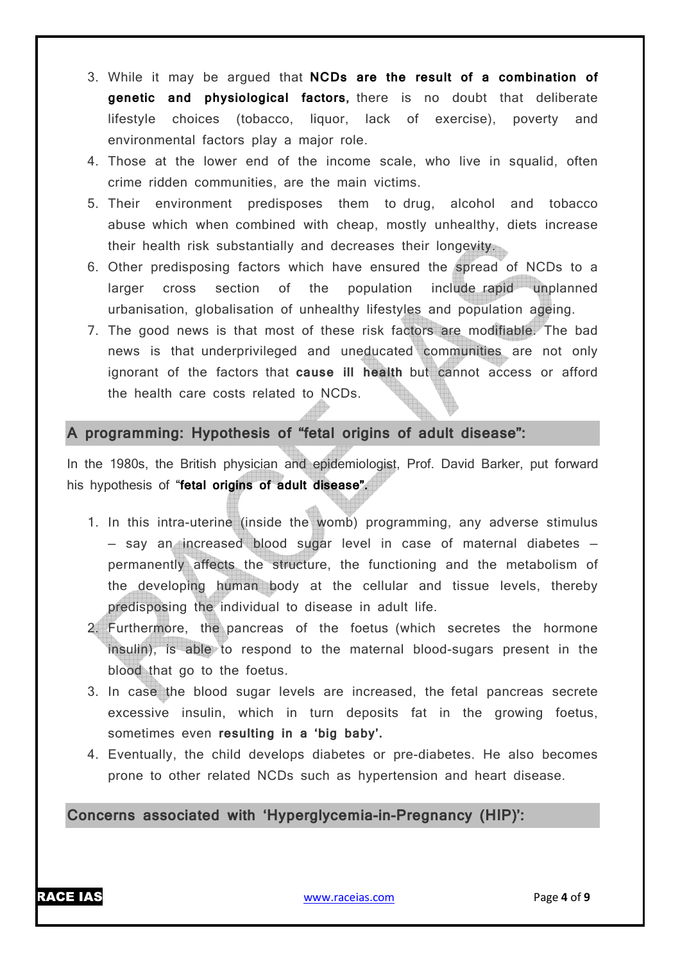- 3. While it may be argued that **NCDs are the result of a combination of genetic and physiological factors,** there is no doubt that deliberate lifestyle choices (tobacco, liquor, lack of exercise), poverty and environmental factors play a major role.
- 4. Those at the lower end of the income scale, who live in squalid, often crime ridden communities, are the main victims.
- 5. Their environment predisposes them to drug, alcohol and tobacco abuse which when combined with cheap, mostly unhealthy, diets increase their health risk substantially and decreases their longevity.
- 6. Other predisposing factors which have ensured the spread of NCDs to a larger cross section of the population include rapid unplanned urbanisation, globalisation of unhealthy lifestyles and population ageing.
- 7. The good news is that most of these risk factors are modifiable. The bad news is that underprivileged and uneducated communities are not only ignorant of the factors that **cause ill health** but cannot access or afford the health care costs related to NCDs.

### **A programming: Hypothesis of "fetal origins of adult disease":**

In the 1980s, the British physician and epidemiologist, Prof. David Barker, put forward his hypothesis of "**fetal origins of adult disease".**

- 1. In this intra-uterine (inside the womb) programming, any adverse stimulus — say an increased blood sugar level in case of maternal diabetes permanently affects the structure, the functioning and the metabolism of the developing human body at the cellular and tissue levels, thereby predisposing the individual to disease in adult life.
- 2. Furthermore, the pancreas of the foetus (which secretes the hormone insulin), is able to respond to the maternal blood-sugars present in the blood that go to the foetus.
- 3. In case the blood sugar levels are increased, the fetal pancreas secrete excessive insulin, which in turn deposits fat in the growing foetus, sometimes even **resulting in a 'big baby'.**
- 4. Eventually, the child develops diabetes or pre-diabetes. He also becomes prone to other related NCDs such as hypertension and heart disease.

# **Concerns associated with 'Hyperglycemia-in-Pregnancy (HIP)':**

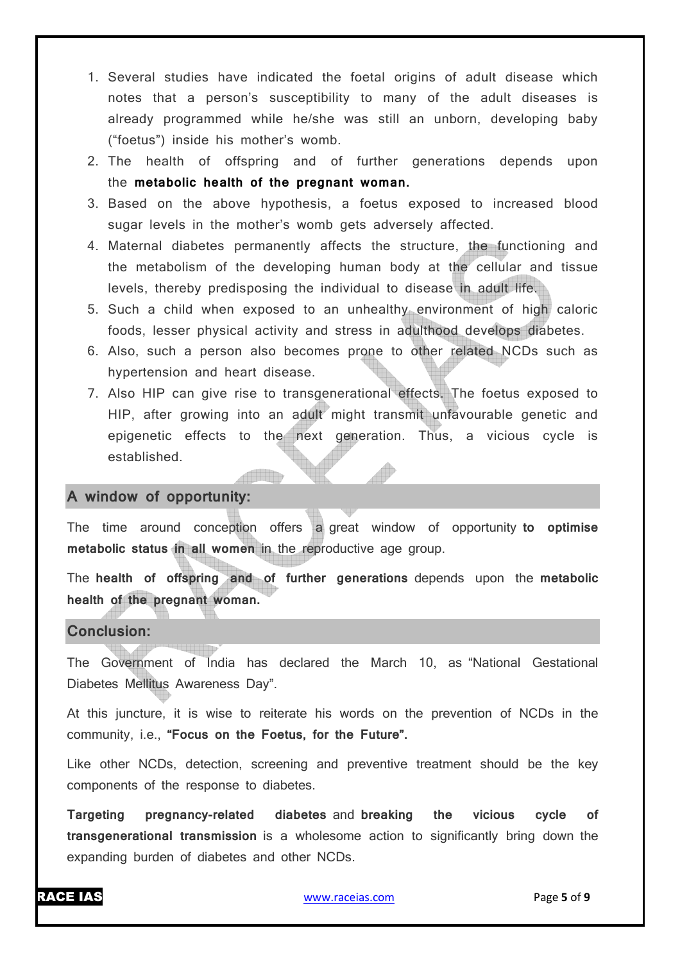- 1. Several studies have indicated the foetal origins of adult disease which notes that a person's susceptibility to many of the adult diseases is already programmed while he/she was still an unborn, developing baby ("foetus") inside his mother's womb.
- 2. The health of offspring and of further generations depends upon the **metabolic health of the pregnant woman.**
- 3. Based on the above hypothesis, a foetus exposed to increased blood sugar levels in the mother's womb gets adversely affected.
- 4. Maternal diabetes permanently affects the structure, the functioning and the metabolism of the developing human body at the cellular and tissue levels, thereby predisposing the individual to disease in adult life.
- 5. Such a child when exposed to an unhealthy environment of high caloric foods, lesser physical activity and stress in adulthood develops diabetes.
- 6. Also, such a person also becomes prone to other related NCDs such as hypertension and heart disease.
- 7. Also HIP can give rise to transgenerational effects. The foetus exposed to HIP, after growing into an adult might transmit unfavourable genetic and epigenetic effects to the next generation. Thus, a vicious cycle is established.

#### **A window of opportunity:**

The time around conception offers a great window of opportunity **to optimise metabolic status in all women** in the reproductive age group.

The **health of offspring and of further generations** depends upon the **metabolic health of the pregnant woman.**

#### **Conclusion:**

The Government of India has declared the March 10, as "National Gestational Diabetes Mellitus Awareness Day".

At this juncture, it is wise to reiterate his words on the prevention of NCDs in the community, i.e., **"Focus on the Foetus, for the Future".**

Like other NCDs, detection, screening and preventive treatment should be the key components of the response to diabetes.

**Targeting pregnancy-related diabetes** and **breaking the vicious cycle of transgenerational transmission** is a wholesome action to significantly bring down the expanding burden of diabetes and other NCDs.

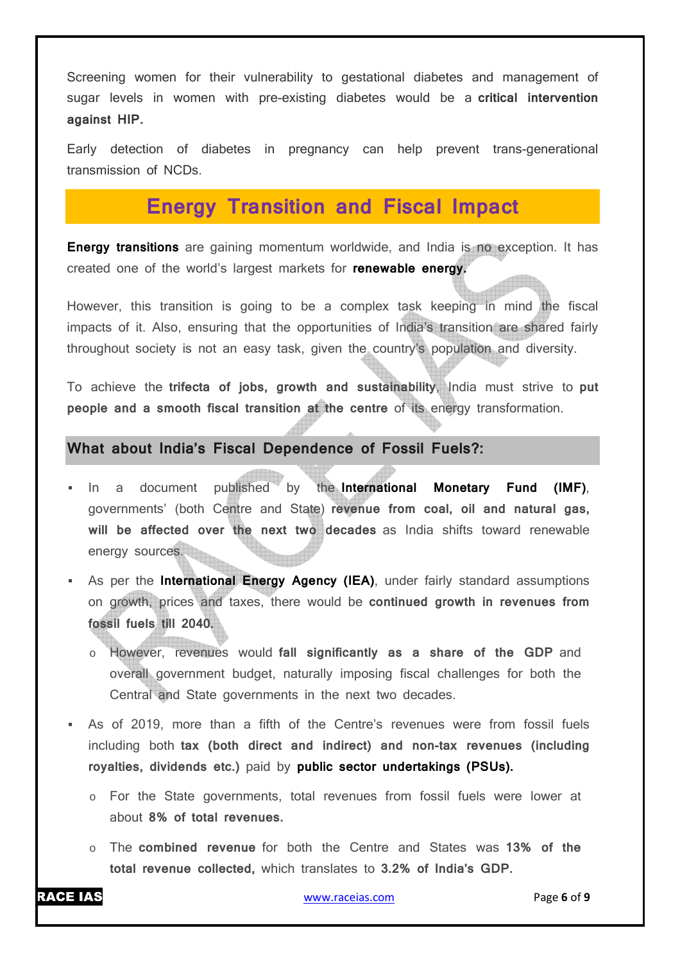Screening women for their vulnerability to gestational diabetes and management of sugar levels in women with pre-existing diabetes would be a **critical intervention against HIP.**

Early detection of diabetes in pregnancy can help prevent trans-generational transmission of NCDs.

# **Energy Transition and Fiscal Impact**

**Energy transitions** are gaining momentum worldwide, and India is no exception. It has created one of the world's largest markets for **renewable energy.**

However, this transition is going to be a complex task keeping in mind the fiscal impacts of it. Also, ensuring that the opportunities of India's transition are shared fairly throughout society is not an easy task, given the country's population and diversity.

To achieve the **trifecta of jobs, growth and sustainability**, India must strive to **put people and a smooth fiscal transition at the centre** of its energy transformation.

#### **What about India's Fiscal Dependence of Fossil Fuels?:**

- In a document published by the **International Monetary Fund (IMF)**, governments' (both Centre and State) **revenue from coal, oil and natural gas, will be affected over the next two decades** as India shifts toward renewable energy sources.
- As per the **International Energy Agency (IEA)**, under fairly standard assumptions on growth, prices and taxes, there would be **continued growth in revenues from fossil fuels till 2040.**
	- However, revenues would fall significantly as a share of the GDP and overall government budget, naturally imposing fiscal challenges for both the Central and State governments in the next two decades.
- As of 2019, more than a fifth of the Centre's revenues were from fossil fuels including both **tax (both direct and indirect) and non-tax revenues (including royalties, dividends etc.)** paid by **public sector undertakings (PSUs).**
	- o For the State governments, total revenues from fossil fuels were lower at about **8% of total revenues.**
	- o The **combined revenue** for both the Centre and States was **13% of the total revenue collected,** which translates to **3.2% of India's GDP.**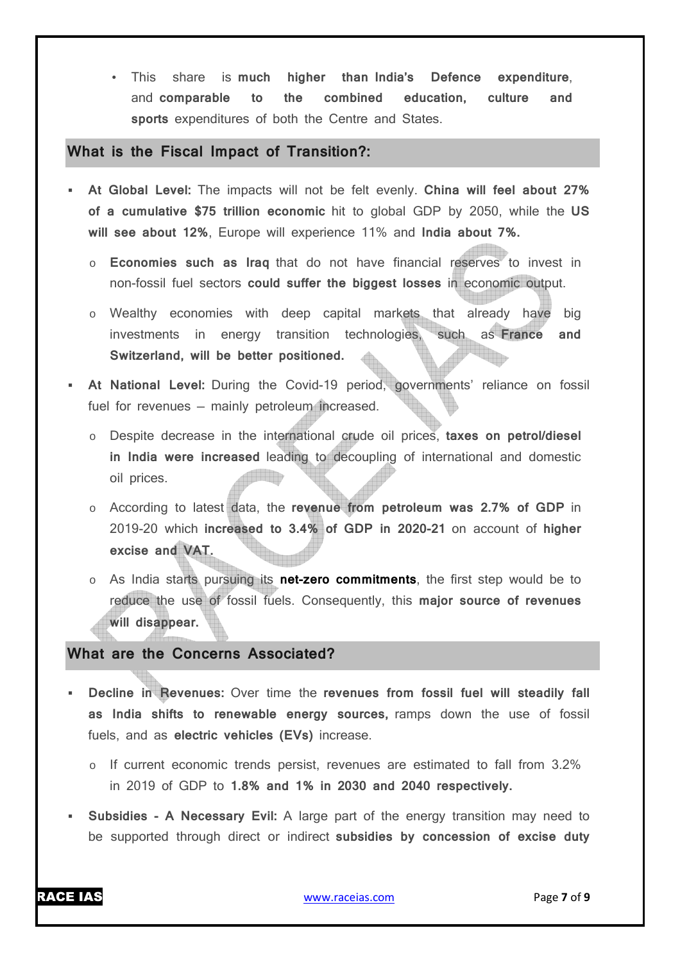• This share is **much higher than India's Defence expenditure**, and **comparable to the combined education, culture and sports** expenditures of both the Centre and States.

#### **What is the Fiscal Impact of Transition?:**

- **At Global Level:** The impacts will not be felt evenly. **China will feel about 27% of a cumulative \$75 trillion economic** hit to global GDP by 2050, while the **US will see about 12%**, Europe will experience 11% and **India about 7%.**
	- o **Economies such as Iraq** that do not have financial reserves to invest in non-fossil fuel sectors **could suffer the biggest losses** in economic output.
	- o Wealthy economies with deep capital markets that already have big investments in energy transition technologies, such as **France and Switzerland, will be better positioned.**
- **At National Level:** During the Covid-19 period, governments' reliance on fossil fuel for revenues — mainly petroleum increased.
	- o Despite decrease in the international crude oil prices, **taxes on petrol/diesel in India were increased** leading to decoupling of international and domestic oil prices.
	- o According to latest data, the **revenue from petroleum was 2.7% of GDP** in 2019-20 which **increased to 3.4% of GDP in 2020-21** on account of **higher excise and VAT.**
	- o As India starts pursuing its **net-zero commitments**, the first step would be to reduce the use of fossil fuels. Consequently, this **major source of revenues will disappear.**

#### **What are the Concerns Associated?**

- **Decline in Revenues:** Over time the **revenues from fossil fuel will steadily fall as India shifts to renewable energy sources,** ramps down the use of fossil fuels, and as **electric vehicles (EVs)** increase.
	- $\circ$  If current economic trends persist, revenues are estimated to fall from 3.2% in 2019 of GDP to **1.8% and 1% in 2030 and 2040 respectively.**
- **Subsidies A Necessary Evil:** A large part of the energy transition may need to be supported through direct or indirect **subsidies by concession of excise duty**

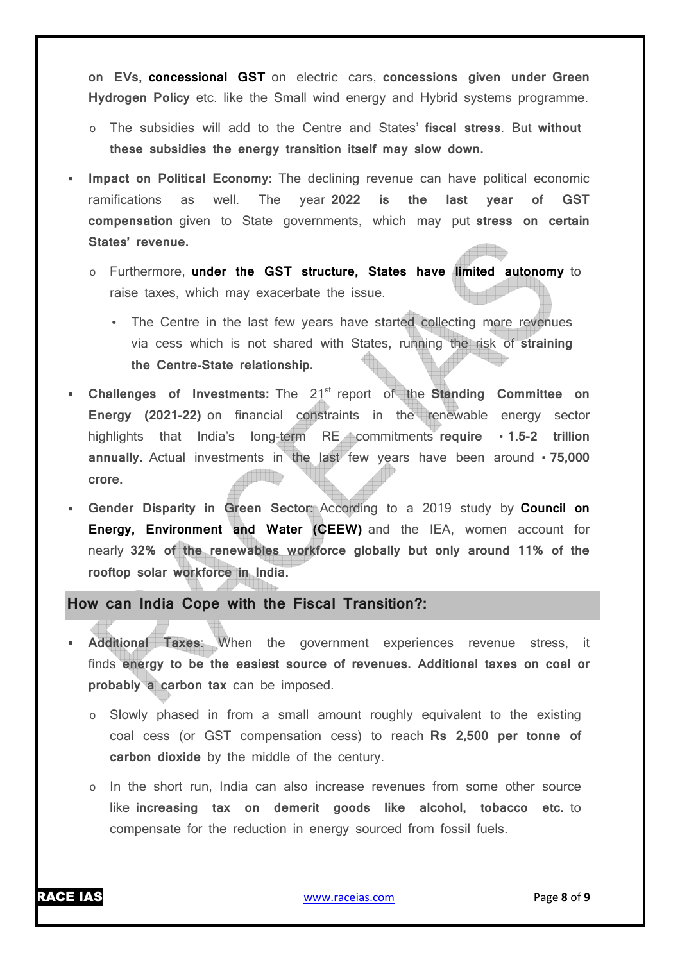**on EVs, concessional GST** on electric cars, **concessions given under Green Hydrogen Policy** etc. like the Small wind energy and Hybrid systems programme.

- o The subsidies will add to the Centre and States' **fiscal stress**. But **without these subsidies the energy transition itself may slow down.**
- **Impact on Political Economy:** The declining revenue can have political economic ramifications as well. The year **2022 is the last year of GST compensation** given to State governments, which may put **stress on certain States' revenue.**
	- o Furthermore, **under the GST structure, States have limited autonomy** to raise taxes, which may exacerbate the issue.
		- The Centre in the last few years have started collecting more revenues via cess which is not shared with States, running the risk of **straining the Centre-State relationship.**
- **Challenges of Investments:** The 21<sup>st</sup> report of the **Standing Committee on Energy (2021-22)** on financial constraints in the renewable energy sector highlights that India's long-term RE commitments **require T.5-2 trillion annually.** Actual investments in the last few years have been around • 75,000 **MENSKER crore.**
- **Gender Disparity in Green Sector:** According to a 2019 study by **Council on Energy, Environment and Water (CEEW)** and the IEA, women account for nearly **32% of the renewables workforce globally but only around 11% of the rooftop solar workforce in India.**

#### **How can India Cope with the Fiscal Transition?:**

- **Additional Taxes**: When the government experiences revenue stress, it finds **energy to be the easiest source of revenues. Additional taxes on coal or probably a carbon tax** can be imposed.
	- Slowly phased in from a small amount roughly equivalent to the existing coal cess (or GST compensation cess) to reach **Rs 2,500 per tonne of carbon dioxide** by the middle of the century.
	- o In the short run, India can also increase revenues from some other source like **increasing tax on demerit goods like alcohol, tobacco etc.** to compensate for the reduction in energy sourced from fossil fuels.